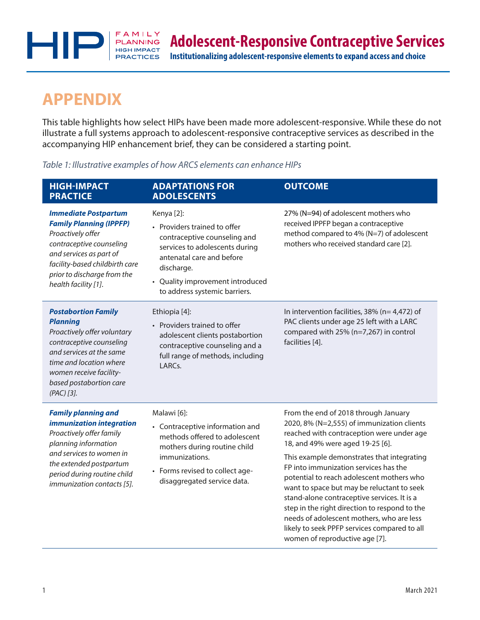

# **APPENDIX**

This table highlights how select HIPs have been made more adolescent-responsive. While these do not illustrate a full systems approach to adolescent-responsive contraceptive services as described in the accompanying HIP enhancement brief, they can be considered a starting point.

# *Table 1: Illustrative examples of how ARCS elements can enhance HIPs*

| <b>HIGH-IMPACT</b><br><b>PRACTICE</b>                                                                                                                                                                                               | <b>ADAPTATIONS FOR</b><br><b>ADOLESCENTS</b>                                                                                                                                                                                 | <b>OUTCOME</b>                                                                                                                                                                                                                                                                                                                                                                                                                                                                                                                                                                       |
|-------------------------------------------------------------------------------------------------------------------------------------------------------------------------------------------------------------------------------------|------------------------------------------------------------------------------------------------------------------------------------------------------------------------------------------------------------------------------|--------------------------------------------------------------------------------------------------------------------------------------------------------------------------------------------------------------------------------------------------------------------------------------------------------------------------------------------------------------------------------------------------------------------------------------------------------------------------------------------------------------------------------------------------------------------------------------|
| <b>Immediate Postpartum</b><br><b>Family Planning (IPPFP)</b><br>Proactively offer<br>contraceptive counseling<br>and services as part of<br>facility-based childbirth care<br>prior to discharge from the<br>health facility [1].  | Kenya [2]:<br>• Providers trained to offer<br>contraceptive counseling and<br>services to adolescents during<br>antenatal care and before<br>discharge.<br>• Quality improvement introduced<br>to address systemic barriers. | 27% (N=94) of adolescent mothers who<br>received IPPFP began a contraceptive<br>method compared to 4% (N=7) of adolescent<br>mothers who received standard care [2].                                                                                                                                                                                                                                                                                                                                                                                                                 |
| <b>Postabortion Family</b><br><b>Planning</b><br>Proactively offer voluntary<br>contraceptive counseling<br>and services at the same<br>time and location where<br>women receive facility-<br>based postabortion care<br>(PAC) [3]. | Ethiopia [4]:<br>• Providers trained to offer<br>adolescent clients postabortion<br>contraceptive counseling and a<br>full range of methods, including<br>LARCs.                                                             | In intervention facilities, $38\%$ (n= 4,472) of<br>PAC clients under age 25 left with a LARC<br>compared with 25% (n=7,267) in control<br>facilities [4].                                                                                                                                                                                                                                                                                                                                                                                                                           |
| <b>Family planning and</b><br>immunization integration<br>Proactively offer family<br>planning information<br>and services to women in<br>the extended postpartum<br>period during routine child<br>immunization contacts [5].      | Malawi [6]:<br>• Contraceptive information and<br>methods offered to adolescent<br>mothers during routine child<br>immunizations.<br>• Forms revised to collect age-<br>disaggregated service data.                          | From the end of 2018 through January<br>2020, 8% (N=2,555) of immunization clients<br>reached with contraception were under age<br>18, and 49% were aged 19-25 [6].<br>This example demonstrates that integrating<br>FP into immunization services has the<br>potential to reach adolescent mothers who<br>want to space but may be reluctant to seek<br>stand-alone contraceptive services. It is a<br>step in the right direction to respond to the<br>needs of adolescent mothers, who are less<br>likely to seek PPFP services compared to all<br>women of reproductive age [7]. |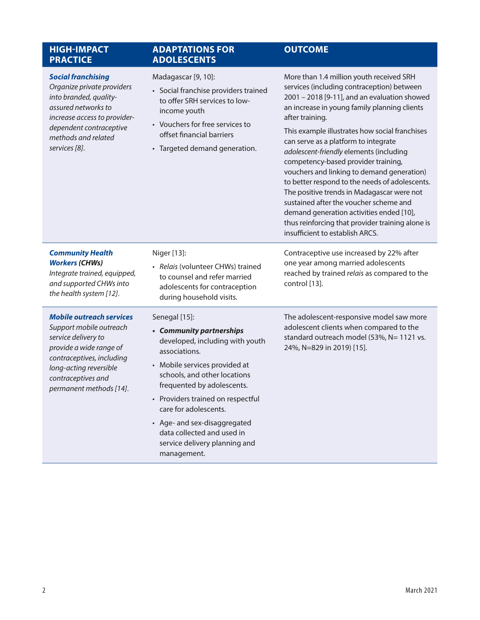| <b>HIGH-IMPACT</b><br><b>PRACTICE</b>                                                                                                                                                                                | <b>ADAPTATIONS FOR</b><br><b>ADOLESCENTS</b>                                                                                                                                                                                                                                                                                                                             | <b>OUTCOME</b>                                                                                                                                                                                                                                                                                                                                                                                                                                                                                                                                                                                                                                                                                                   |
|----------------------------------------------------------------------------------------------------------------------------------------------------------------------------------------------------------------------|--------------------------------------------------------------------------------------------------------------------------------------------------------------------------------------------------------------------------------------------------------------------------------------------------------------------------------------------------------------------------|------------------------------------------------------------------------------------------------------------------------------------------------------------------------------------------------------------------------------------------------------------------------------------------------------------------------------------------------------------------------------------------------------------------------------------------------------------------------------------------------------------------------------------------------------------------------------------------------------------------------------------------------------------------------------------------------------------------|
| <b>Social franchising</b><br>Organize private providers<br>into branded, quality-<br>assured networks to<br>increase access to provider-<br>dependent contraceptive<br>methods and related<br>services [8].          | Madagascar [9, 10]:<br>• Social franchise providers trained<br>to offer SRH services to low-<br>income youth<br>• Vouchers for free services to<br>offset financial barriers<br>• Targeted demand generation.                                                                                                                                                            | More than 1.4 million youth received SRH<br>services (including contraception) between<br>2001 - 2018 [9-11], and an evaluation showed<br>an increase in young family planning clients<br>after training.<br>This example illustrates how social franchises<br>can serve as a platform to integrate<br>adolescent-friendly elements (including<br>competency-based provider training,<br>vouchers and linking to demand generation)<br>to better respond to the needs of adolescents.<br>The positive trends in Madagascar were not<br>sustained after the voucher scheme and<br>demand generation activities ended [10],<br>thus reinforcing that provider training alone is<br>insufficient to establish ARCS. |
| <b>Community Health</b><br><b>Workers (CHWs)</b><br>Integrate trained, equipped,<br>and supported CHWs into<br>the health system [12].                                                                               | Niger [13]:<br>· Relais (volunteer CHWs) trained<br>to counsel and refer married<br>adolescents for contraception<br>during household visits.                                                                                                                                                                                                                            | Contraceptive use increased by 22% after<br>one year among married adolescents<br>reached by trained relais as compared to the<br>control [13].                                                                                                                                                                                                                                                                                                                                                                                                                                                                                                                                                                  |
| <b>Mobile outreach services</b><br>Support mobile outreach<br>service delivery to<br>provide a wide range of<br>contraceptives, including<br>long-acting reversible<br>contraceptives and<br>permanent methods [14]. | Senegal [15]:<br>• Community partnerships<br>developed, including with youth<br>associations.<br>• Mobile services provided at<br>schools, and other locations<br>frequented by adolescents.<br>• Providers trained on respectful<br>care for adolescents.<br>• Age- and sex-disaggregated<br>data collected and used in<br>service delivery planning and<br>management. | The adolescent-responsive model saw more<br>adolescent clients when compared to the<br>standard outreach model (53%, N= 1121 vs.<br>24%, N=829 in 2019) [15].                                                                                                                                                                                                                                                                                                                                                                                                                                                                                                                                                    |